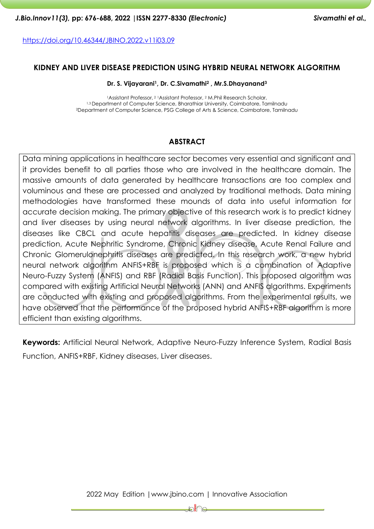<https://doi.org/10.46344/JBINO.2022.v11i03.09>

### **KIDNEY AND LIVER DISEASE PREDICTION USING HYBRID NEURAL NETWORK ALGORITHM**

**Dr. S. Vijayarani1, Dr. C.Sivamathi<sup>2</sup> , Mr.S.Dhayanand<sup>3</sup>**

<sup>1</sup>Assistant Professor, <sup>2</sup> <sup>1</sup>Assistant Professor, <sup>2</sup> M.Phil Research Scholar, 1,3 Department of Computer Science, Bharathiar University, Coimbatore, Tamilnadu <sup>2</sup>Department of Computer Science, PSG College of Arts & Science, Coimbatore, Tamilnadu

### **ABSTRACT**

Data mining applications in healthcare sector becomes very essential and significant and it provides benefit to all parties those who are involved in the healthcare domain. The massive amounts of data generated by healthcare transactions are too complex and voluminous and these are processed and analyzed by traditional methods. Data mining methodologies have transformed these mounds of data into useful information for accurate decision making. The primary objective of this research work is to predict kidney and liver diseases by using neural network algorithms. In liver disease prediction, the diseases like CBCL and acute hepatitis diseases are predicted. In kidney disease prediction, Acute Nephritic Syndrome, Chronic Kidney disease, Acute Renal Failure and Chronic Glomerulonephritis diseases are predicted. In this research work, a new hybrid neural network algorithm ANFIS+RBF is proposed which is a combination of Adaptive Neuro-Fuzzy System (ANFIS) and RBF (Radial Basis Function). This proposed algorithm was compared with existing Artificial Neural Networks (ANN) and ANFIS algorithms. Experiments are conducted with existing and proposed algorithms. From the experimental results, we have observed that the performance of the proposed hybrid ANFIS+RBF algorithm is more efficient than existing algorithms.

**Keywords:** Artificial Neural Network, Adaptive Neuro-Fuzzy Inference System, Radial Basis Function, ANFIS+RBF, Kidney diseases, Liver diseases.

2022 May Edition |www.jbino.com | Innovative Association

⊯่ใ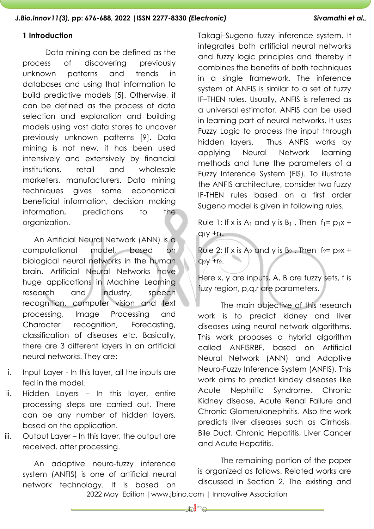## **1 Introduction**

Data mining can be defined as the process of discovering previously unknown patterns and trends in databases and using that information to build predictive models [5]. Otherwise, it can be defined as the process of data selection and exploration and building models using vast data stores to uncover previously unknown patterns [9]. Data mining is not new, it has been used intensively and extensively by financial institutions, retail and wholesale marketers, manufacturers. Data mining techniques gives some economical beneficial information, decision making information, predictions to the organization.

An Artificial Neural Network (ANN) is a computational model, based on biological neural networks in the human brain. Artificial Neural Networks have huge applications in Machine Learning research and industry, speech recognition, computer vision and text processing, Image Processing and Character recognition, Forecasting, classification of diseases etc. Basically, there are 3 different layers in an artificial neural networks. They are:

- i. Input Layer In this layer, all the inputs are fed in the model.
- ii. Hidden Layers In this layer, entire processing steps are carried out. There can be any number of hidden layers, based on the application.
- iii. Output Layer In this layer, the output are received, after processing.

An adaptive neuro-fuzzy inference system (ANFIS) is one of artificial neural network technology. It is based on

Takagi–Sugeno fuzzy inference system. It integrates both artificial neural networks and fuzzy logic principles and thereby it combines the benefits of both techniques in a single framework. The inference system of ANFIS is similar to a set of fuzzy IF–THEN rules. Usually, ANFIS is referred as a universal estimator. ANFIS can be used in learning part of neural networks. It uses Fuzzy Logic to process the input through hidden layers. Thus ANFIS works by applying Neural Network learning methods and tune the parameters of a Fuzzy Inference System (FIS). To illustrate the ANFIS architecture, consider two fuzzy IF-THEN rules based on a first order Sugeno model is given in following rules.

Rule 1: If x is  $A_1$  and y is  $B_1$ , Then  $f_1 = p_1x +$  $q_1y + r_1$ .

Rule 2: If x is  $A_2$  and y is  $B_2$ , Then  $f_2 = p_2x + p_1$  $q_2y + r_2$ .

Here x, y are inputs, A, B are fuzzy sets, f is fuzy region, p,q,r are parameters.

The main objective of this research work is to predict kidney and liver diseases using neural network algorithms. This work proposes a hybrid algorithm called ANFISRBF, based on Artificial Neural Network (ANN) and Adaptive Neuro-Fuzzy Inference System (ANFIS). This work aims to predict kindey diseases like Acute Nephritic Syndrome, Chronic Kidney disease, Acute Renal Failure and Chronic Glomerulonephritis. Also the work predicts liver diseases such as Cirrhosis, Bile Duct, Chronic Hepatitis, Liver Cancer and Acute Hepatitis.

The remaining portion of the paper is organized as follows. Related works are discussed in Section 2. The existing and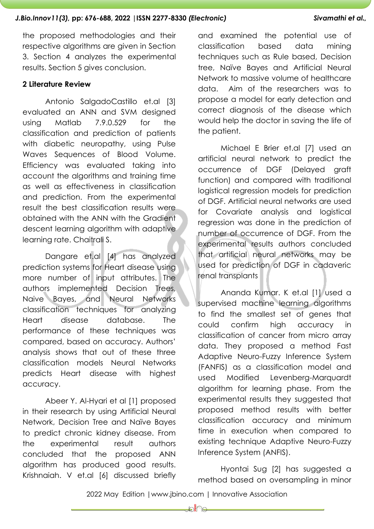the proposed methodologies and their respective algorithms are given in Section 3. Section 4 analyzes the experimental results. Section 5 gives conclusion.

## **2 Literature Review**

Antonio SalgadoCastillo et.al [3] evaluated an ANN and SVM designed using Matlab 7.9.0.529 for the classification and prediction of patients with diabetic neuropathy, using Pulse Waves Sequences of Blood Volume. Efficiency was evaluated taking into account the algorithms and training time as well as effectiveness in classification and prediction. From the experimental result the best classification results were obtained with the ANN with the Gradient descent learning algorithm with adaptive learning rate. Chaitrali S.

Dangare et.al [4] has analyzed prediction systems for Heart disease using more number of input attributes. The authors implemented Decision Trees, Naive Bayes, and Neural Networks classification techniques for analyzing Heart disease database. The performance of these techniques was compared, based on accuracy. Authors' analysis shows that out of these three classification models Neural Networks predicts Heart disease with highest accuracy.

Abeer Y. Al-Hyari et al [1] proposed in their research by using Artificial Neural Network, Decision Tree and Naïve Bayes to predict chronic kidney disease. From the experimental result authors concluded that the proposed ANN algorithm has produced good results. Krishnaiah. V et.al [6] discussed briefly and examined the potential use of classification based data mining techniques such as Rule based, Decision tree, Naïve Bayes and Artificial Neural Network to massive volume of healthcare data. Aim of the researchers was to propose a model for early detection and correct diagnosis of the disease which would help the doctor in saving the life of the patient.

Michael E Brier et.al [7] used an artificial neural network to predict the occurrence of DGF (Delayed graft function) and compared with traditional logistical regression models for prediction of DGF. Artificial neural networks are used for Covariate analysis and logistical regression was done in the prediction of number of occurrence of DGF. From the experimental results authors concluded that artificial neural networks may be used for prediction of DGF in cadaveric renal transplants

Ananda Kumar. K et.al [1] used a supervised machine learning algorithms to find the smallest set of genes that could confirm high accuracy in classification of cancer from micro array data. They proposed a method Fast Adaptive Neuro-Fuzzy Inference System (FANFIS) as a classification model and used Modified Levenberg-Marquardt algorithm for learning phase. From the experimental results they suggested that proposed method results with better classification accuracy and minimum time in execution when compared to existing technique Adaptive Neuro-Fuzzy Inference System (ANFIS).

Hyontai Sug [2] has suggested a method based on oversampling in minor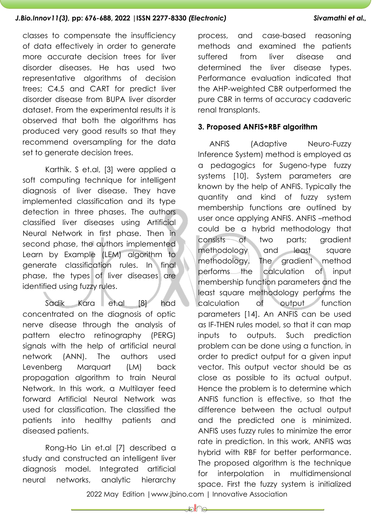classes to compensate the insufficiency of data effectively in order to generate more accurate decision trees for liver disorder diseases. He has used two representative algorithms of decision trees; C4.5 and CART for predict liver disorder disease from BUPA liver disorder dataset. From the experimental results it is observed that both the algorithms has produced very good results so that they recommend oversampling for the data set to generate decision trees.

Karthik. S et.al, [3] were applied a soft computing technique for intelligent diagnosis of liver disease. They have implemented classification and its type detection in three phases. The authors classified liver diseases using Artificial Neural Network in first phase. Then in second phase, the authors implemented Learn by Example (LEM) algorithm to generate classification rules. In final phase, the types of liver diseases are identified using fuzzy rules.

Sadik Kara et.al [8] had concentrated on the diagnosis of optic nerve disease through the analysis of pattern electro retinography (PERG) signals with the help of artificial neural network (ANN). The authors used Levenberg Marquart (LM) back propagation algorithm to train Neural Network. In this work, a Multilayer feed forward Artificial Neural Network was used for classification. The classified the patients into healthy patients and diseased patients.

Rong-Ho Lin et.al [7] described a study and constructed an intelligent liver diagnosis model. Integrated artificial neural networks, analytic hierarchy

process, and case-based reasoning methods and examined the patients suffered from liver disease and determined the liver disease types. Performance evaluation indicated that the AHP-weighted CBR outperformed the pure CBR in terms of accuracy cadaveric renal transplants.

### **3. Proposed ANFIS+RBF algorithm**

ANFIS (Adaptive Neuro-Fuzzy Inference System) method is employed as a pedagogics for Sugeno-type fuzzy systems [10]. System parameters are known by the help of ANFIS. Typically the quantity and kind of fuzzy system membership functions are outlined by user once applying ANFIS. ANFIS –method could be a hybrid methodology that consists of two parts; gradient methodology and least square methodology. The gradient method performs the calculation of input membership function parameters and the least square methodology performs the calculation of output function parameters [14]. An ANFIS can be used as IF-THEN rules model, so that it can map inputs to outputs. Such prediction problem can be done using a function, in order to predict output for a given input vector. This output vector should be as close as possible to its actual output. Hence the problem is to determine which ANFIS function is effective, so that the difference between the actual output and the predicted one is minimized. ANFIS uses fuzzy rules to minimize the error rate in prediction. In this work, ANFIS was hybrid with RBF for better performance. The proposed algorithm is the technique for interpolation in multidimensional space. First the fuzzy system is initialized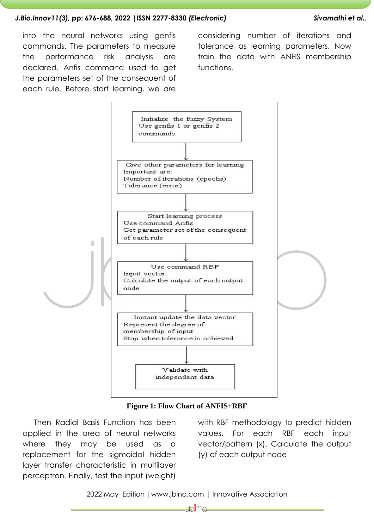into the neural networks using genfis commands. The parameters to measure the performance risk analysis are declared. Anfis command used to get the parameters set of the consequent of each rule. Before start learning, we are

considering number of iterations and tolerance as learning parameters. Now train the data with ANFIS membership functions.



**Figure 1: Flow Chart of ANFIS+RBF**

Then Radial Basis Function has been applied in the area of neural networks where they may be used as a replacement for the sigmoidal hidden layer transfer characteristic in multilayer perceptron. Finally, test the input (weight)

with RBF methodology to predict hidden values. For each RBF each input vector/pattern (x). Calculate the output (y) of each output node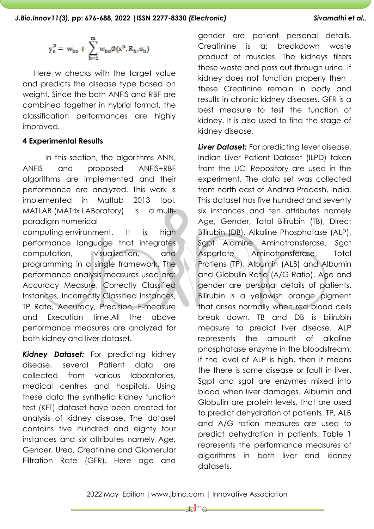$$
y^p_o = \ w_{bo} + \ \sum_{h=1}^m w_{ho} \emptyset(x^p, R_h, \sigma_h)
$$

Here w checks with the target value and predicts the disease type based on weight. Since the both ANFIS and RBF are combined together in hybrid format, the classification performances are highly improved.

# **4 Experimental Results**

In this section, the algorithms ANN, ANFIS and proposed ANFIS+RBF algorithms are implemented and their performance are analyzed. This work is implemented in Matlab 2013 tool. MATLAB (MATrix LABoratory) is a multiparadigm numerical

computing environment. It is high performance language that integrates computation, visualization, and programming in a single framework. The performance analysis measures used are: Accuracy Measure, Correctly Classified Instances, Incorrectly Classified Instances, TP Rate, Accuracy, Precision, F-measure and Execution time.All the above performance measures are analyzed for both kidney and liver dataset.

*Kidney Dataset:* For predicting kidney disease, several Patient data are collected from various laboratories, medical centres and hospitals. Using these data the synthetic kidney function test (KFT) dataset have been created for analysis of kidney disease. The dataset contains five hundred and eighty four instances and six attributes namely Age, Gender, Urea, Creatinine and Glomerular Filtration Rate (GFR). Here age and gender are patient personal details. Creatinine is a: breakdown waste product of muscles. The kidneys filters these waste and pass out through urine. If kidney does not function properly then , these Creatinine remain in body and results in chronic kidney diseases. GFR is a best measure to test the function of kidney. It is also used to find the stage of kidney disease.

*Liver Dataset:* For predicting lever disease, Indian Liver Patient Dataset (ILPD) taken from the UCI Repository are used in the experiment. The data set was collected from north east of Andhra Pradesh, India. This dataset has five hundred and seventy six instances and ten attributes namely Age, Gender, Total Bilirubin (TB), Direct Bilirubin (DB), Alkaline Phosphotase (ALP), Sgpt Alamine Aminotransferase, Sgot Aspartate Aminotransferase, Total Protiens (TP), Albumin (ALB) and Albumin and Globulin Ratio (A/G Ratio). Age and gender are personal details of patients. Bilirubin is a yellowish orange pigment that arises normally when red blood cells break down. TB and DB is bilirubin measure to predict liver disease. ALP represents the amount of alkaline phosphatase enzyme in the bloodstream. If the level of ALP is high, then it means the there is some disease or fault in liver. Sgpt and sgot are enzymes mixed into blood when liver damages. Albumin and Globulin are protein levels, that are used to predict dehydration of patients. TP, ALB and A/G ration measures are used to predict dehydration in patients. Table 1 represents the performance measures of algorithms in both liver and kidney datasets.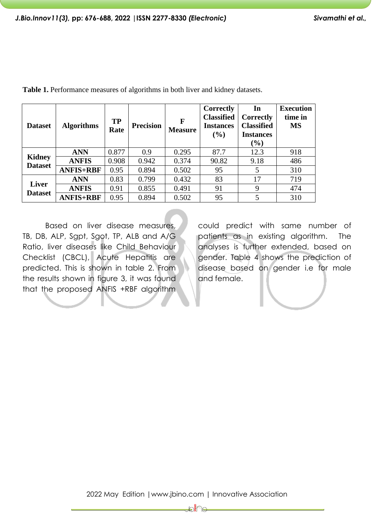| <b>Dataset</b>                  | <b>Algorithms</b> | <b>TP</b><br>Rate | <b>Precision</b> | F<br><b>Measure</b> | Correctly<br><b>Classified</b><br><b>Instances</b><br>(%) | In<br><b>Correctly</b><br><b>Classified</b><br><b>Instances</b><br>$(\%)$ | <b>Execution</b><br>time in<br><b>MS</b> |
|---------------------------------|-------------------|-------------------|------------------|---------------------|-----------------------------------------------------------|---------------------------------------------------------------------------|------------------------------------------|
| <b>Kidney</b><br><b>Dataset</b> | <b>ANN</b>        | 0.877             | 0.9              | 0.295               | 87.7                                                      | 12.3                                                                      | 918                                      |
|                                 | <b>ANFIS</b>      | 0.908             | 0.942            | 0.374               | 90.82                                                     | 9.18                                                                      | 486                                      |
|                                 | <b>ANFIS+RBF</b>  | 0.95              | 0.894            | 0.502               | 95                                                        | 5                                                                         | 310                                      |
| <b>Liver</b><br><b>Dataset</b>  | <b>ANN</b>        | 0.83              | 0.799            | 0.432               | 83                                                        | 17                                                                        | 719                                      |
|                                 | <b>ANFIS</b>      | 0.91              | 0.855            | 0.491               | 91                                                        | 9                                                                         | 474                                      |
|                                 | <b>ANFIS+RBF</b>  | 0.95              | 0.894            | 0.502               | 95                                                        | 5                                                                         | 310                                      |

**Table 1.** Performance measures of algorithms in both liver and kidney datasets.

Based on liver disease measures, TB, DB, ALP, Sgpt, Sgot, TP, ALB and A/G Ratio, liver diseases like Child Behaviour Checklist (CBCL), Acute Hepatitis are predicted. This is shown in table 2. From the results shown in figure 3, it was found that the proposed ANFIS +RBF algorithm

could predict with same number of patients as in existing algorithm. The analyses is further extended, based on gender. Table 4 shows the prediction of disease based on gender i.e for male and female.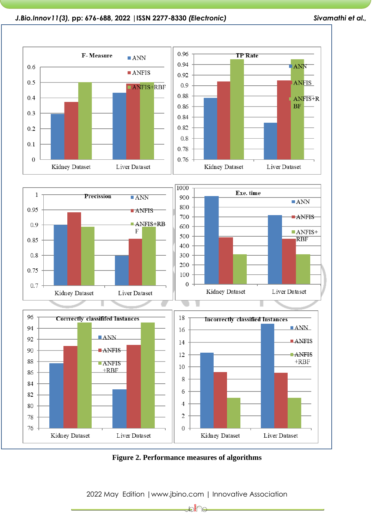



2022 May Edition |www.jbino.com | Innovative Association

⊯∭∩∈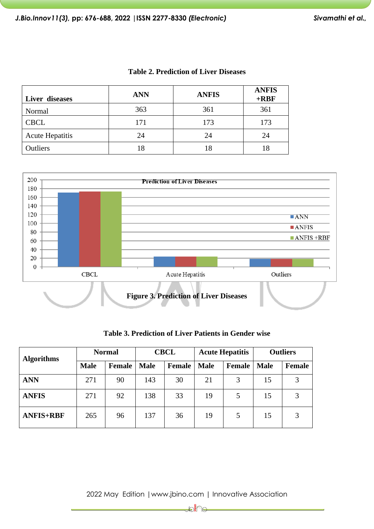| Liver diseases         | <b>ANN</b> | <b>ANFIS</b> | <b>ANFIS</b><br>$+$ <b>RBF</b> |
|------------------------|------------|--------------|--------------------------------|
| Normal                 | 363        | 361          | 361                            |
| <b>CBCL</b>            | 171        | 173          | 173                            |
| <b>Acute Hepatitis</b> | 24         | 24           | 24                             |
| Outliers               | 18         |              |                                |

**Table 2. Prediction of Liver Diseases**



**Table 3. Prediction of Liver Patients in Gender wise**

| <b>Algorithms</b> | <b>Normal</b> |               | <b>CBCL</b> |        | <b>Acute Hepatitis</b> |        | <b>Outliers</b> |               |
|-------------------|---------------|---------------|-------------|--------|------------------------|--------|-----------------|---------------|
|                   | <b>Male</b>   | <b>Female</b> | <b>Male</b> | Female | <b>Male</b>            | Female | <b>Male</b>     | <b>Female</b> |
| <b>ANN</b>        | 271           | 90            | 143         | 30     | 21                     | 3      | 15              |               |
| <b>ANFIS</b>      | 271           | 92            | 138         | 33     | 19                     | 5      | 15              |               |
| <b>ANFIS+RBF</b>  | 265           | 96            | 137         | 36     | 19                     | 5      | 15              |               |

2022 May Edition |www.jbino.com | Innovative Association

⊯े∦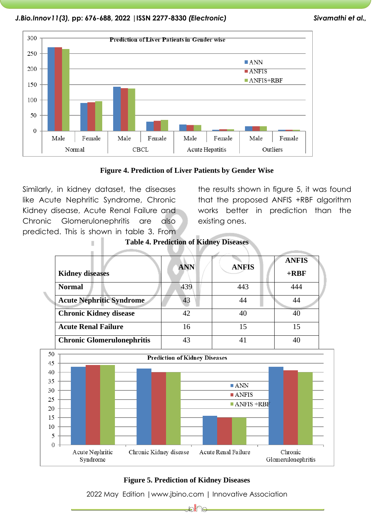



Similarly, in kidney dataset, the diseases like Acute Nephritic Syndrome, Chronic Kidney disease, Acute Renal Failure and Chronic Glomerulonephritis are also predicted. This is shown in table 3. From

the results shown in figure 5, it was found that the proposed ANFIS +RBF algorithm works better in prediction than the existing ones.



**Table 4. Prediction of Kidney Diseases**



# **Figure 5. Prediction of Kidney Diseases**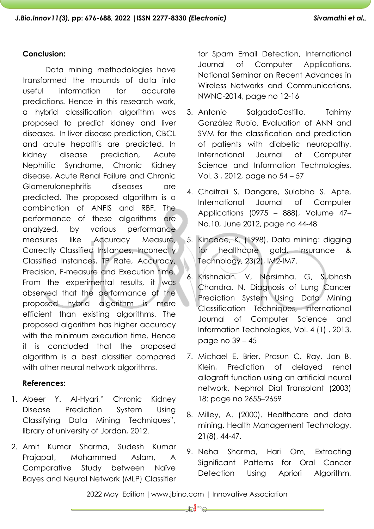# **Conclusion:**

Data mining methodologies have transformed the mounds of data into useful information for accurate predictions. Hence in this research work, a hybrid classification algorithm was proposed to predict kidney and liver diseases. In liver disease prediction, CBCL and acute hepatitis are predicted. In kidney disease prediction, Acute Nephritic Syndrome, Chronic Kidney disease, Acute Renal Failure and Chronic Glomerulonephritis diseases are predicted. The proposed algorithm is a combination of ANFIS and RBF. The performance of these algorithms are analyzed, by various performance measures like Accuracy Measure, Correctly Classified Instances, Incorrectly Classified Instances, TP Rate, Accuracy, Precision, F-measure and Execution time. From the experimental results, it was observed that the performance of the proposed hybrid algorithm is more efficient than existing algorithms. The proposed algorithm has higher accuracy with the minimum execution time. Hence it is concluded that the proposed algorithm is a best classifier compared with other neural network algorithms.

# **References:**

- 1. Abeer Y. Al-Hyari," Chronic Kidney Disease Prediction System Using Classifying Data Mining Techniques", library of university of Jordan, 2012.
- 2. Amit Kumar Sharma, Sudesh Kumar Prajapat, Mohammed Aslam, A Comparative Study between Naïve Bayes and Neural Network (MLP) Classifier

for Spam Email Detection, International Journal of Computer Applications, National Seminar on Recent Advances in Wireless Networks and Communications, NWNC-2014, page no 12-16

- 3. Antonio SalgadoCastillo, Tahimy González Rubio, Evaluation of ANN and SVM for the classification and prediction of patients with diabetic neuropathy, International Journal of Computer Science and Information Technologies, Vol. 3 , 2012, page no 54 – 57
- 4. Chaitrali S. Dangare, Sulabha S. Apte, International Journal of Computer Applications (0975 – 888), Volume 47– No.10, June 2012, page no 44-48
- 5. Kincade, K. (1998). Data mining: digging for healthcare gold. Insurance & Technology, 23(2), IM2-IM7.
- 6. Krishnaiah. V, Narsimha. G, Subhash Chandra. N, Diagnosis of Lung Cancer Prediction System Using Data Mining Classification Techniques, International Journal of Computer Science and Information Technologies, Vol. 4 (1) , 2013, page no 39 – 45
- 7. Michael E. Brier, Prasun C. Ray, Jon B. Klein, Prediction of delayed renal allograft function using an artificial neural network, Nephrol Dial Transplant (2003) 18: page no 2655–2659
- 8. Milley, A. (2000). Healthcare and data mining. Health Management Technology, 21(8), 44-47.
- 9. Neha Sharma, Hari Om, Extracting Significant Patterns for Oral Cancer Detection Using Apriori Algorithm,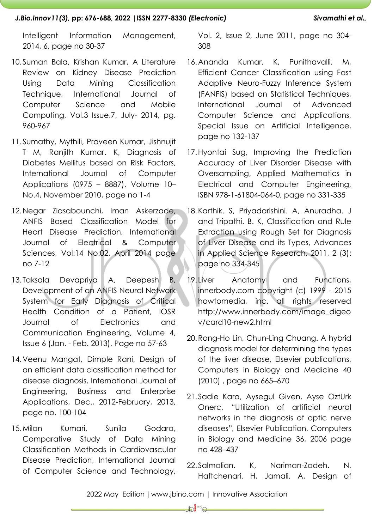Intelligent Information Management, 2014, 6, page no 30-37

- 10.Suman Bala, Krishan Kumar, A Literature Review on Kidney Disease Prediction Using Data Mining Classification Technique, International Journal of Computer Science and Mobile Computing, Vol.3 Issue.7, July- 2014, pg. 960-967
- 11.Sumathy, Mythili, Praveen Kumar, Jishnujit T M, Ranjith Kumar. K, Diagnosis of Diabetes Mellitus based on Risk Factors, International Journal of Computer Applications (0975 – 8887), Volume 10– No.4, November 2010, page no 1-4
- 12.Negar Ziasabounchi, Iman Askerzade, ANFIS Based Classification Model for Heart Disease Prediction, International Journal of Electrical & Computer Sciences, Vol:14 No:02, April 2014 page no 7-12
- 13. Taksala Devapriya A, Deepesh B, Development of an ANFIS Neural Network System for Early Diagnosis of Critical Health Condition of a Patient, IOSR Journal of Electronics and Communication Engineering, Volume 4, Issue 6 (Jan. - Feb. 2013), Page no 57-63
- 14.Veenu Mangat, Dimple Rani, Design of an efficient data classification method for disease diagnosis, International Journal of Engineering, Business and Enterprise Applications, Dec., 2012-February, 2013, page no. 100-104
- 15.Milan Kumari, Sunila Godara, Comparative Study of Data Mining Classification Methods in Cardiovascular Disease Prediction, International Journal of Computer Science and Technology,

Vol. 2, Issue 2, June 2011, page no 304- 308

- 16.Ananda Kumar. K, Punithavalli. M, Efficient Cancer Classification using Fast Adaptive Neuro-Fuzzy Inference System (FANFIS) based on Statistical Techniques, International Journal of Advanced Computer Science and Applications, Special Issue on Artificial Intelligence, page no 132-137
- 17.Hyontai Sug, Improving the Prediction Accuracy of Liver Disorder Disease with Oversampling, Applied Mathematics in Electrical and Computer Engineering, ISBN 978-1-61804-064-0, page no 331-335
- 18.Karthik. S, Priyadarishini. A, Anuradha. J and Tripathi. B. K, Classification and Rule Extraction using Rough Set for Diagnosis of Liver Disease and its Types, Advances in Applied Science Research, 2011, 2 (3): page no 334-345
- 19. Liver Anatomy and Functions, innerbody.com copyright (c) 1999 - 2015 howtomedia, inc. all rights reserved [http://www.innerbody.com/image\\_digeo](http://www.innerbody.com/image_digeov/card10-new2.html) [v/card10-new2.html](http://www.innerbody.com/image_digeov/card10-new2.html)
- 20.Rong-Ho Lin, Chun-Ling Chuang. A hybrid diagnosis model for determining the types of the liver disease, Elsevier publications, Computers in Biology and Medicine 40 (2010) , page no 665–670
- 21. Sadie Kara, Aysegul Given, Ayse OztUrk Onerc, "Utilization of artificial neural networks in the diagnosis of optic nerve diseases"*,* Elsevier Publication, Computers in Biology and Medicine 36, 2006 page no 428–437
- 22. Salmalian. K, Nariman-Zadeh. N, Haftchenari. H, Jamali. A, Design of